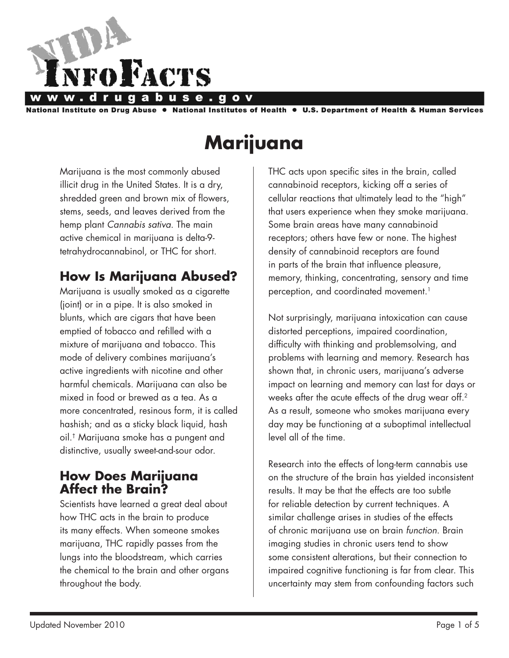

National Institute on Drug Abuse ● National Institutes of Health ● U.S. Department of Health & Human Services

# **Marijuana**

Marijuana is the most commonly abused illicit drug in the United States. It is a dry, shredded green and brown mix of flowers, stems, seeds, and leaves derived from the hemp plant *Cannabis sativa*. The main active chemical in marijuana is delta-9 tetrahydrocannabinol, or THC for short.

# **How Is Marijuana Abused?**

Marijuana is usually smoked as a cigarette (joint) or in a pipe. It is also smoked in blunts, which are cigars that have been emptied of tobacco and refilled with a mixture of marijuana and tobacco. This mode of delivery combines marijuana's active ingredients with nicotine and other harmful chemicals. Marijuana can also be mixed in food or brewed as a tea. As a more concentrated, resinous form, it is called hashish; and as a sticky black liquid, hash oil.† Marijuana smoke has a pungent and distinctive, usually sweet-and-sour odor.

### **How Does Marijuana Affect the Brain?**

Scientists have learned a great deal about how THC acts in the brain to produce its many effects. When someone smokes marijuana, THC rapidly passes from the lungs into the bloodstream, which carries the chemical to the brain and other organs throughout the body.

THC acts upon specific sites in the brain, called cannabinoid receptors, kicking off a series of cellular reactions that ultimately lead to the "high" that users experience when they smoke marijuana. Some brain areas have many cannabinoid receptors; others have few or none. The highest density of cannabinoid receptors are found in parts of the brain that influence pleasure, memory, thinking, concentrating, sensory and time perception, and coordinated movement.<sup>1</sup>

Not surprisingly, marijuana intoxication can cause distorted perceptions, impaired coordination, difficulty with thinking and problemsolving, and problems with learning and memory. Research has shown that, in chronic users, marijuana's adverse impact on learning and memory can last for days or weeks after the acute effects of the drug wear off.<sup>2</sup> As a result, someone who smokes marijuana every day may be functioning at a suboptimal intellectual level all of the time.

Research into the effects of long-term cannabis use on the structure of the brain has yielded inconsistent results. It may be that the effects are too subtle for reliable detection by current techniques. A similar challenge arises in studies of the effects of chronic marijuana use on brain *function*. Brain imaging studies in chronic users tend to show some consistent alterations, but their connection to impaired cognitive functioning is far from clear. This uncertainty may stem from confounding factors such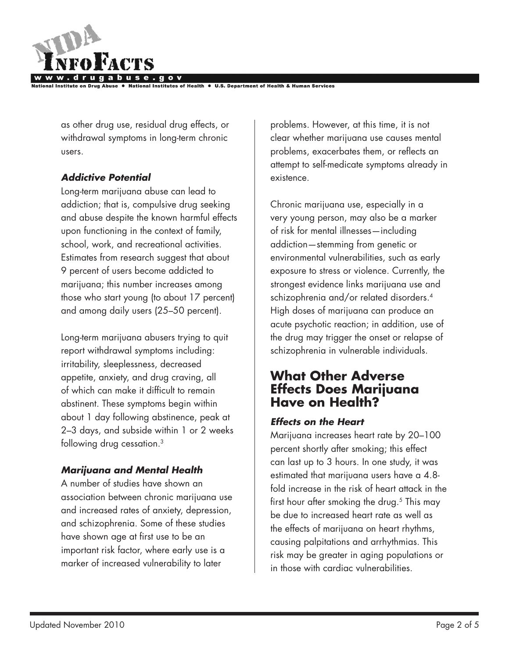

**Institutes of Health** 

as other drug use, residual drug effects, or withdrawal symptoms in long-term chronic users.

### *Addictive Potential*

Long-term marijuana abuse can lead to addiction; that is, compulsive drug seeking and abuse despite the known harmful effects upon functioning in the context of family, school, work, and recreational activities. Estimates from research suggest that about 9 percent of users become addicted to marijuana; this number increases among those who start young (to about 17 percent) and among daily users (25–50 percent).

Long-term marijuana abusers trying to quit report withdrawal symptoms including: irritability, sleeplessness, decreased appetite, anxiety, and drug craving, all of which can make it difficult to remain abstinent. These symptoms begin within about 1 day following abstinence, peak at 2–3 days, and subside within 1 or 2 weeks following drug cessation.<sup>3</sup>

### *Marijuana and Mental Health*

A number of studies have shown an association between chronic marijuana use and increased rates of anxiety, depression, and schizophrenia. Some of these studies have shown age at first use to be an important risk factor, where early use is a marker of increased vulnerability to later

problems. However, at this time, it is not clear whether marijuana use causes mental problems, exacerbates them, or reflects an attempt to self-medicate symptoms already in existence.

Chronic marijuana use, especially in a very young person, may also be a marker of risk for mental illnesses—including addiction—stemming from genetic or environmental vulnerabilities, such as early exposure to stress or violence. Currently, the strongest evidence links marijuana use and schizophrenia and/or related disorders.<sup>4</sup> High doses of marijuana can produce an acute psychotic reaction; in addition, use of the drug may trigger the onset or relapse of schizophrenia in vulnerable individuals.

### **What Other Adverse Effects Does Marijuana Have on Health?**

### *Effects on the Heart*

Marijuana increases heart rate by 20–100 percent shortly after smoking; this effect can last up to 3 hours. In one study, it was estimated that marijuana users have a 4.8 fold increase in the risk of heart attack in the first hour after smoking the drug.<sup>5</sup> This may be due to increased heart rate as well as the effects of marijuana on heart rhythms, causing palpitations and arrhythmias. This risk may be greater in aging populations or in those with cardiac vulnerabilities.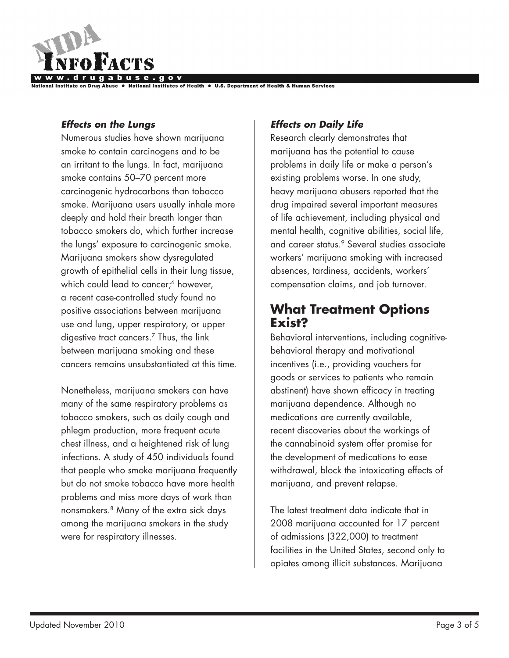

#### *Effects on the Lungs*

Numerous studies have shown marijuana smoke to contain carcinogens and to be an irritant to the lungs. In fact, marijuana smoke contains 50–70 percent more carcinogenic hydrocarbons than tobacco smoke. Marijuana users usually inhale more deeply and hold their breath longer than tobacco smokers do, which further increase the lungs' exposure to carcinogenic smoke. Marijuana smokers show dysregulated growth of epithelial cells in their lung tissue, which could lead to cancer;<sup>6</sup> however, a recent case-controlled study found no positive associations between marijuana use and lung, upper respiratory, or upper digestive tract cancers.7 Thus, the link between marijuana smoking and these cancers remains unsubstantiated at this time.

Nonetheless, marijuana smokers can have many of the same respiratory problems as tobacco smokers, such as daily cough and phlegm production, more frequent acute chest illness, and a heightened risk of lung infections. A study of 450 individuals found that people who smoke marijuana frequently but do not smoke tobacco have more health problems and miss more days of work than nonsmokers.8 Many of the extra sick days among the marijuana smokers in the study were for respiratory illnesses.

#### *Effects on Daily Life*

Research clearly demonstrates that marijuana has the potential to cause problems in daily life or make a person's existing problems worse. In one study, heavy marijuana abusers reported that the drug impaired several important measures of life achievement, including physical and mental health, cognitive abilities, social life, and career status.<sup>9</sup> Several studies associate workers' marijuana smoking with increased absences, tardiness, accidents, workers' compensation claims, and job turnover.

### **What Treatment Options Exist?**

Behavioral interventions, including cognitivebehavioral therapy and motivational incentives (i.e., providing vouchers for goods or services to patients who remain abstinent) have shown efficacy in treating marijuana dependence. Although no medications are currently available, recent discoveries about the workings of the cannabinoid system offer promise for the development of medications to ease withdrawal, block the intoxicating effects of marijuana, and prevent relapse.

The latest treatment data indicate that in 2008 marijuana accounted for 17 percent of admissions (322,000) to treatment facilities in the United States, second only to opiates among illicit substances. Marijuana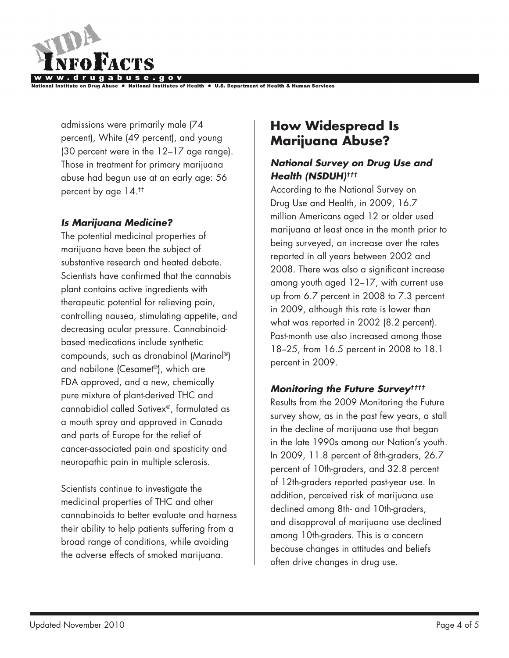

**nstitutes of Health** 

admissions were primarily male (74 percent), White (49 percent), and young (30 percent were in the 12–17 age range). Those in treatment for primary marijuana abuse had begun use at an early age: 56 percent by age 14.††

### *Is Marijuana Medicine?*

The potential medicinal properties of marijuana have been the subject of substantive research and heated debate. Scientists have confirmed that the cannabis plant contains active ingredients with therapeutic potential for relieving pain, controlling nausea, stimulating appetite, and decreasing ocular pressure. Cannabinoidbased medications include synthetic compounds, such as dronabinol (Marinol®) and nabilone (Cesamet®), which are FDA approved, and a new, chemically pure mixture of plant-derived THC and cannabidiol called Sativex®, formulated as a mouth spray and approved in Canada and parts of Europe for the relief of cancer-associated pain and spasticity and neuropathic pain in multiple sclerosis.

Scientists continue to investigate the medicinal properties of THC and other cannabinoids to better evaluate and harness their ability to help patients suffering from a broad range of conditions, while avoiding the adverse effects of smoked marijuana.

# **How Widespread Is Marijuana Abuse?**

### *National Survey on Drug Use and Health (NSDUH)†††*

According to the National Survey on Drug Use and Health, in 2009, 16.7 million Americans aged 12 or older used marijuana at least once in the month prior to being surveyed, an increase over the rates reported in all years between 2002 and 2008. There was also a significant increase among youth aged 12–17, with current use up from 6.7 percent in 2008 to 7.3 percent in 2009, although this rate is lower than what was reported in 2002 (8.2 percent). Past-month use also increased among those 18–25, from 16.5 percent in 2008 to 18.1 percent in 2009.

### *Monitoring the Future Survey††††*

Results from the 2009 Monitoring the Future survey show, as in the past few years, a stall in the decline of marijuana use that began in the late 1990s among our Nation's youth. In 2009, 11.8 percent of 8th-graders, 26.7 percent of 10th-graders, and 32.8 percent of 12th-graders reported past-year use. In addition, perceived risk of marijuana use declined among 8th- and 10th-graders, and disapproval of marijuana use declined among 10th-graders. This is a concern because changes in attitudes and beliefs often drive changes in drug use.